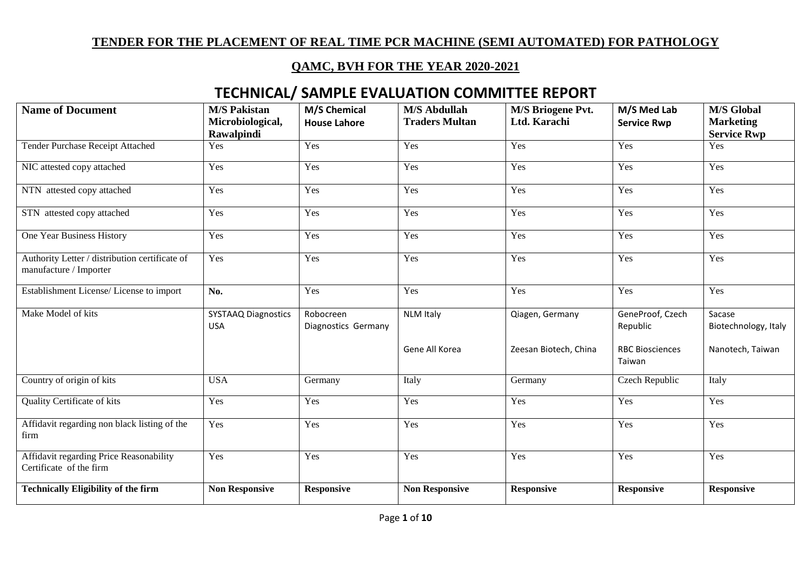#### **QAMC, BVH FOR THE YEAR 2020-2021**

| <b>Name of Document</b>                                                  | <b>M/S Pakistan</b><br>Microbiological,  | <b>M/S Chemical</b><br><b>House Lahore</b> | <b>M/S Abdullah</b><br><b>Traders Multan</b> | <b>M/S Briogene Pvt.</b><br>Ltd. Karachi | M/S Med Lab                      | <b>M/S Global</b><br><b>Marketing</b> |
|--------------------------------------------------------------------------|------------------------------------------|--------------------------------------------|----------------------------------------------|------------------------------------------|----------------------------------|---------------------------------------|
|                                                                          | Rawalpindi                               |                                            |                                              |                                          | <b>Service Rwp</b>               | <b>Service Rwp</b>                    |
| <b>Tender Purchase Receipt Attached</b>                                  | Yes                                      | Yes                                        | Yes                                          | Yes                                      | Yes                              | Yes                                   |
| NIC attested copy attached                                               | Yes                                      | Yes                                        | Yes                                          | Yes                                      | Yes                              | Yes                                   |
| NTN attested copy attached                                               | Yes                                      | Yes                                        | Yes                                          | Yes                                      | Yes                              | Yes                                   |
| STN attested copy attached                                               | Yes                                      | Yes                                        | Yes                                          | Yes                                      | Yes                              | Yes                                   |
| One Year Business History                                                | Yes                                      | Yes                                        | Yes                                          | Yes                                      | Yes                              | Yes                                   |
| Authority Letter / distribution certificate of<br>manufacture / Importer | Yes                                      | Yes                                        | Yes                                          | Yes                                      | Yes                              | Yes                                   |
| Establishment License/ License to import                                 | No.                                      | Yes                                        | Yes                                          | Yes                                      | Yes                              | Yes                                   |
| Make Model of kits                                                       | <b>SYSTAAQ Diagnostics</b><br><b>USA</b> | Robocreen<br>Diagnostics Germany           | <b>NLM Italy</b>                             | Qiagen, Germany                          | GeneProof, Czech<br>Republic     | Sacase<br>Biotechnology, Italy        |
|                                                                          |                                          |                                            | Gene All Korea                               | Zeesan Biotech, China                    | <b>RBC Biosciences</b><br>Taiwan | Nanotech, Taiwan                      |
| Country of origin of kits                                                | <b>USA</b>                               | Germany                                    | Italy                                        | Germany                                  | Czech Republic                   | Italy                                 |
| <b>Quality Certificate of kits</b>                                       | Yes                                      | Yes                                        | Yes                                          | Yes                                      | Yes                              | Yes                                   |
| Affidavit regarding non black listing of the<br>firm                     | Yes                                      | Yes                                        | Yes                                          | Yes                                      | Yes                              | Yes                                   |
| Affidavit regarding Price Reasonability<br>Certificate of the firm       | Yes                                      | Yes                                        | Yes                                          | Yes                                      | Yes                              | Yes                                   |
| <b>Technically Eligibility of the firm</b>                               | <b>Non Responsive</b>                    | <b>Responsive</b>                          | <b>Non Responsive</b>                        | <b>Responsive</b>                        | <b>Responsive</b>                | <b>Responsive</b>                     |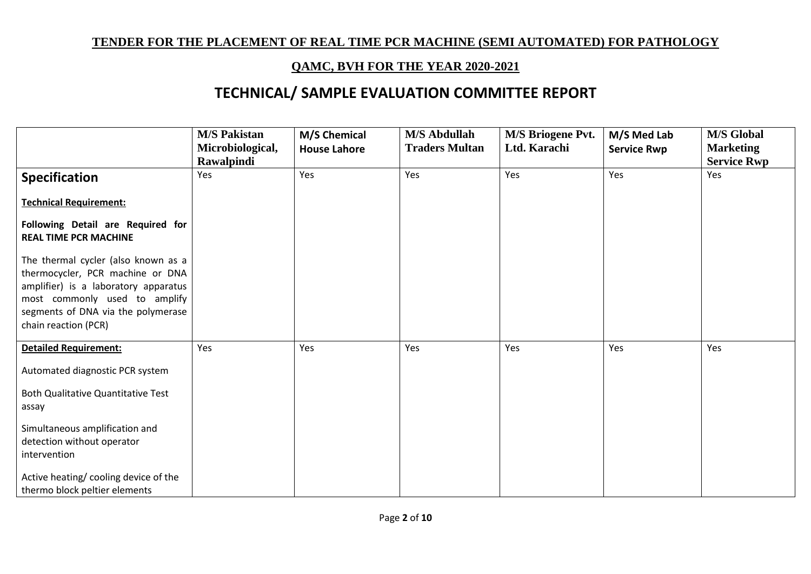### **QAMC, BVH FOR THE YEAR 2020-2021**

|                                                                                                                                                                                                                | <b>M/S Pakistan</b><br>Microbiological, | M/S Chemical<br><b>House Lahore</b> | <b>M/S Abdullah</b><br><b>Traders Multan</b> | <b>M/S Briogene Pvt.</b><br>Ltd. Karachi | M/S Med Lab<br><b>Service Rwp</b> | <b>M/S Global</b><br><b>Marketing</b> |
|----------------------------------------------------------------------------------------------------------------------------------------------------------------------------------------------------------------|-----------------------------------------|-------------------------------------|----------------------------------------------|------------------------------------------|-----------------------------------|---------------------------------------|
|                                                                                                                                                                                                                | Rawalpindi                              |                                     |                                              |                                          |                                   | <b>Service Rwp</b>                    |
| <b>Specification</b>                                                                                                                                                                                           | Yes                                     | Yes                                 | Yes                                          | Yes                                      | Yes                               | Yes                                   |
| <b>Technical Requirement:</b>                                                                                                                                                                                  |                                         |                                     |                                              |                                          |                                   |                                       |
| Following Detail are Required for<br><b>REAL TIME PCR MACHINE</b>                                                                                                                                              |                                         |                                     |                                              |                                          |                                   |                                       |
| The thermal cycler (also known as a<br>thermocycler, PCR machine or DNA<br>amplifier) is a laboratory apparatus<br>most commonly used to amplify<br>segments of DNA via the polymerase<br>chain reaction (PCR) |                                         |                                     |                                              |                                          |                                   |                                       |
| <b>Detailed Requirement:</b>                                                                                                                                                                                   | Yes                                     | Yes                                 | Yes                                          | Yes                                      | Yes                               | Yes                                   |
| Automated diagnostic PCR system<br><b>Both Qualitative Quantitative Test</b><br>assay                                                                                                                          |                                         |                                     |                                              |                                          |                                   |                                       |
| Simultaneous amplification and<br>detection without operator<br>intervention                                                                                                                                   |                                         |                                     |                                              |                                          |                                   |                                       |
| Active heating/ cooling device of the<br>thermo block peltier elements                                                                                                                                         |                                         |                                     |                                              |                                          |                                   |                                       |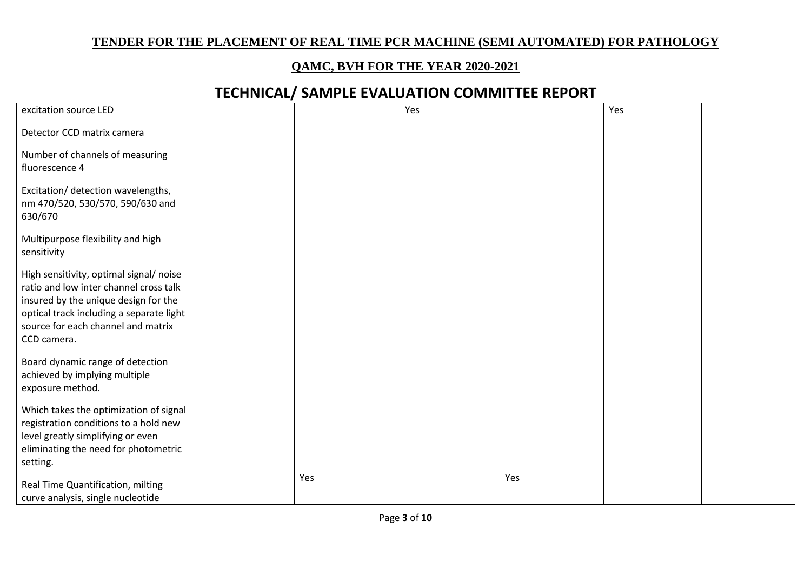#### **QAMC, BVH FOR THE YEAR 2020-2021**

| excitation source LED                                                                                                                                                                                                      |     | Yes |     | Yes |  |
|----------------------------------------------------------------------------------------------------------------------------------------------------------------------------------------------------------------------------|-----|-----|-----|-----|--|
|                                                                                                                                                                                                                            |     |     |     |     |  |
| Detector CCD matrix camera                                                                                                                                                                                                 |     |     |     |     |  |
| Number of channels of measuring<br>fluorescence 4                                                                                                                                                                          |     |     |     |     |  |
| Excitation/ detection wavelengths,<br>nm 470/520, 530/570, 590/630 and<br>630/670                                                                                                                                          |     |     |     |     |  |
| Multipurpose flexibility and high<br>sensitivity                                                                                                                                                                           |     |     |     |     |  |
| High sensitivity, optimal signal/ noise<br>ratio and low inter channel cross talk<br>insured by the unique design for the<br>optical track including a separate light<br>source for each channel and matrix<br>CCD camera. |     |     |     |     |  |
| Board dynamic range of detection<br>achieved by implying multiple<br>exposure method.                                                                                                                                      |     |     |     |     |  |
| Which takes the optimization of signal<br>registration conditions to a hold new<br>level greatly simplifying or even<br>eliminating the need for photometric<br>setting.                                                   |     |     |     |     |  |
| Real Time Quantification, milting<br>curve analysis, single nucleotide                                                                                                                                                     | Yes |     | Yes |     |  |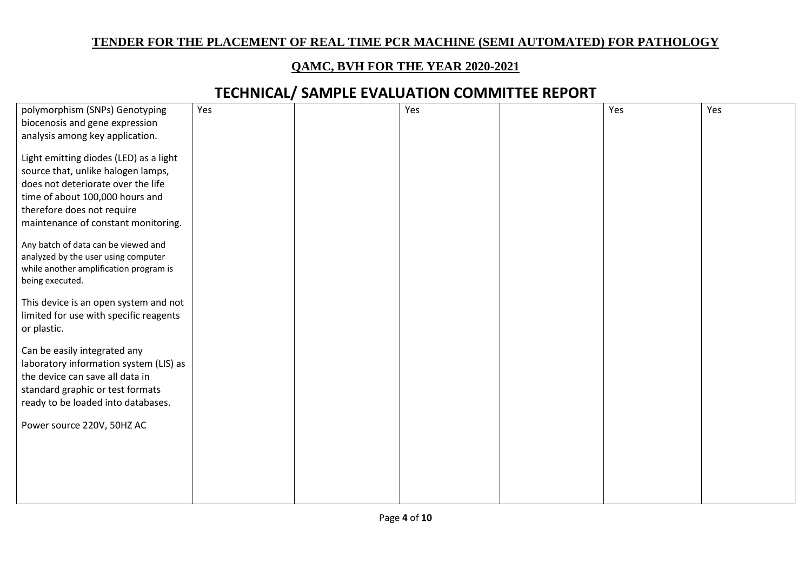#### **QAMC, BVH FOR THE YEAR 2020-2021**

| polymorphism (SNPs) Genotyping         | Yes | Yes | Yes | Yes |
|----------------------------------------|-----|-----|-----|-----|
|                                        |     |     |     |     |
| biocenosis and gene expression         |     |     |     |     |
| analysis among key application.        |     |     |     |     |
|                                        |     |     |     |     |
| Light emitting diodes (LED) as a light |     |     |     |     |
| source that, unlike halogen lamps,     |     |     |     |     |
| does not deteriorate over the life     |     |     |     |     |
|                                        |     |     |     |     |
| time of about 100,000 hours and        |     |     |     |     |
| therefore does not require             |     |     |     |     |
| maintenance of constant monitoring.    |     |     |     |     |
|                                        |     |     |     |     |
| Any batch of data can be viewed and    |     |     |     |     |
| analyzed by the user using computer    |     |     |     |     |
| while another amplification program is |     |     |     |     |
|                                        |     |     |     |     |
| being executed.                        |     |     |     |     |
|                                        |     |     |     |     |
| This device is an open system and not  |     |     |     |     |
| limited for use with specific reagents |     |     |     |     |
| or plastic.                            |     |     |     |     |
|                                        |     |     |     |     |
| Can be easily integrated any           |     |     |     |     |
| laboratory information system (LIS) as |     |     |     |     |
| the device can save all data in        |     |     |     |     |
|                                        |     |     |     |     |
| standard graphic or test formats       |     |     |     |     |
| ready to be loaded into databases.     |     |     |     |     |
|                                        |     |     |     |     |
| Power source 220V, 50HZ AC             |     |     |     |     |
|                                        |     |     |     |     |
|                                        |     |     |     |     |
|                                        |     |     |     |     |
|                                        |     |     |     |     |
|                                        |     |     |     |     |
|                                        |     |     |     |     |
|                                        |     |     |     |     |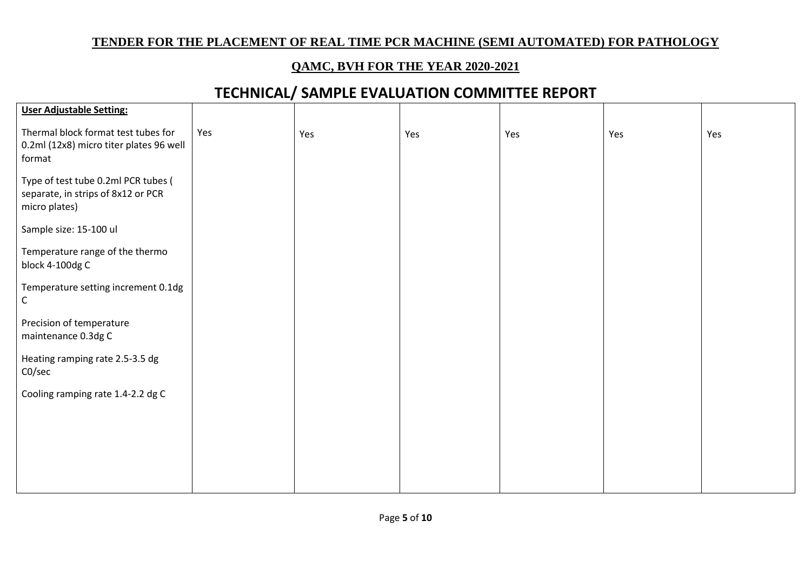#### **QAMC, BVH FOR THE YEAR 2020-2021**

| <b>User Adjustable Setting:</b>                                                            |     |     |     |     |     |     |
|--------------------------------------------------------------------------------------------|-----|-----|-----|-----|-----|-----|
| Thermal block format test tubes for<br>0.2ml (12x8) micro titer plates 96 well<br>format   | Yes | Yes | Yes | Yes | Yes | Yes |
| Type of test tube 0.2ml PCR tubes (<br>separate, in strips of 8x12 or PCR<br>micro plates) |     |     |     |     |     |     |
| Sample size: 15-100 ul                                                                     |     |     |     |     |     |     |
| Temperature range of the thermo<br>block 4-100dg C                                         |     |     |     |     |     |     |
| Temperature setting increment 0.1dg<br>$\mathsf{C}$                                        |     |     |     |     |     |     |
| Precision of temperature<br>maintenance 0.3dg C                                            |     |     |     |     |     |     |
| Heating ramping rate 2.5-3.5 dg<br>CO/sec                                                  |     |     |     |     |     |     |
| Cooling ramping rate 1.4-2.2 dg C                                                          |     |     |     |     |     |     |
|                                                                                            |     |     |     |     |     |     |
|                                                                                            |     |     |     |     |     |     |
|                                                                                            |     |     |     |     |     |     |
|                                                                                            |     |     |     |     |     |     |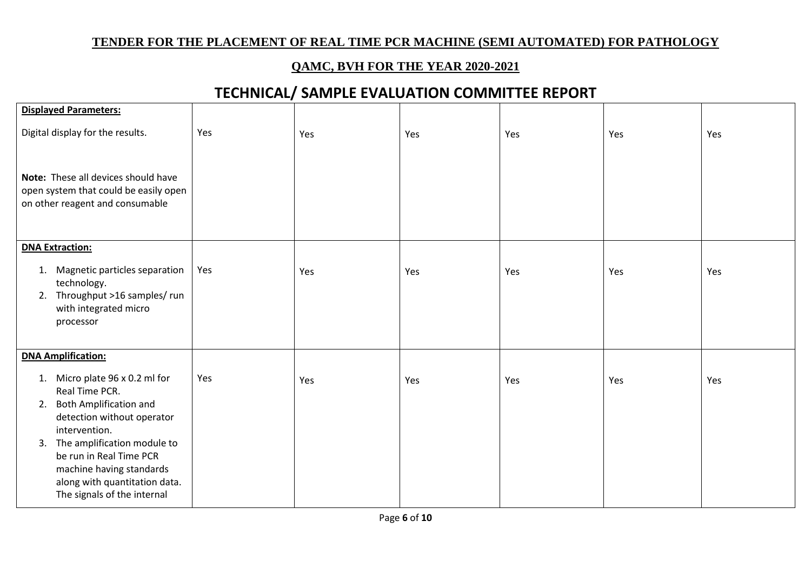#### **QAMC, BVH FOR THE YEAR 2020-2021**

| Yes | Yes | Yes | Yes | Yes | Yes |
|-----|-----|-----|-----|-----|-----|
|     |     |     |     |     |     |
|     |     |     |     |     |     |
| Yes | Yes | Yes | Yes | Yes | Yes |
|     |     |     |     |     |     |
| Yes | Yes | Yes | Yes | Yes | Yes |
|     |     |     |     |     |     |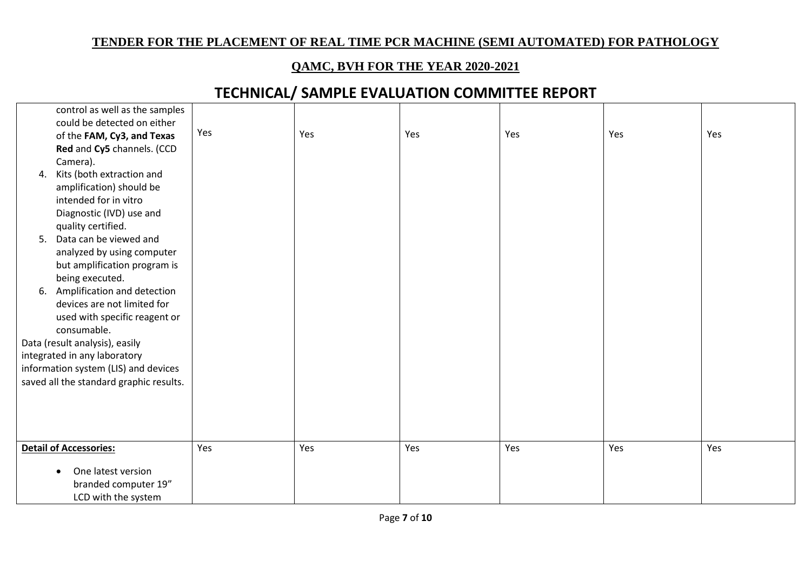#### **QAMC, BVH FOR THE YEAR 2020-2021**

|    | control as well as the samples          |     |     |     |     |     |     |
|----|-----------------------------------------|-----|-----|-----|-----|-----|-----|
|    | could be detected on either             |     |     |     |     |     |     |
|    | of the FAM, Cy3, and Texas              | Yes | Yes | Yes | Yes | Yes | Yes |
|    | Red and Cy5 channels. (CCD              |     |     |     |     |     |     |
|    | Camera).                                |     |     |     |     |     |     |
| 4. | Kits (both extraction and               |     |     |     |     |     |     |
|    | amplification) should be                |     |     |     |     |     |     |
|    | intended for in vitro                   |     |     |     |     |     |     |
|    | Diagnostic (IVD) use and                |     |     |     |     |     |     |
|    | quality certified.                      |     |     |     |     |     |     |
|    | 5. Data can be viewed and               |     |     |     |     |     |     |
|    | analyzed by using computer              |     |     |     |     |     |     |
|    | but amplification program is            |     |     |     |     |     |     |
|    | being executed.                         |     |     |     |     |     |     |
| 6. | Amplification and detection             |     |     |     |     |     |     |
|    | devices are not limited for             |     |     |     |     |     |     |
|    | used with specific reagent or           |     |     |     |     |     |     |
|    | consumable.                             |     |     |     |     |     |     |
|    | Data (result analysis), easily          |     |     |     |     |     |     |
|    | integrated in any laboratory            |     |     |     |     |     |     |
|    | information system (LIS) and devices    |     |     |     |     |     |     |
|    | saved all the standard graphic results. |     |     |     |     |     |     |
|    |                                         |     |     |     |     |     |     |
|    |                                         |     |     |     |     |     |     |
|    |                                         |     |     |     |     |     |     |
|    |                                         |     |     |     |     |     |     |
|    | <b>Detail of Accessories:</b>           | Yes | Yes | Yes | Yes | Yes | Yes |
|    | One latest version                      |     |     |     |     |     |     |
|    | branded computer 19"                    |     |     |     |     |     |     |
|    | LCD with the system                     |     |     |     |     |     |     |
|    |                                         |     |     |     |     |     |     |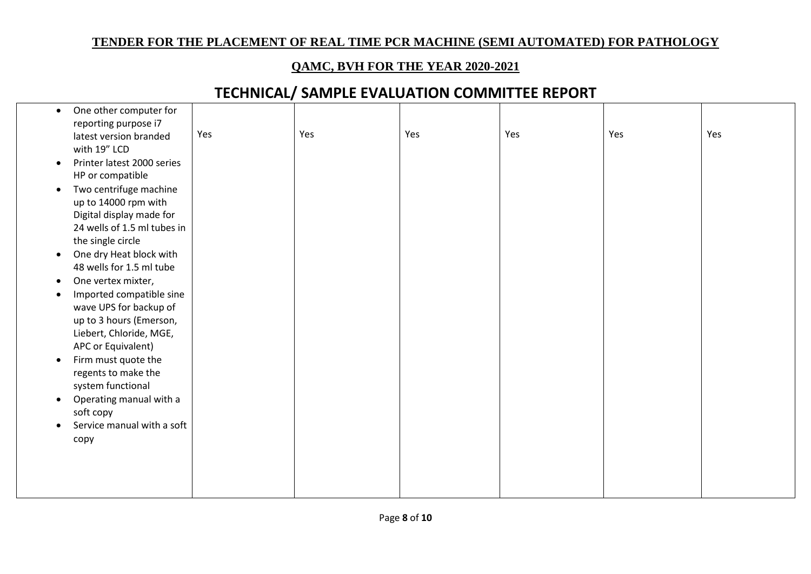#### **QAMC, BVH FOR THE YEAR 2020-2021**

| $\bullet$ | One other computer for      |     |     |     |     |     |     |
|-----------|-----------------------------|-----|-----|-----|-----|-----|-----|
|           | reporting purpose i7        |     |     |     |     |     |     |
|           | latest version branded      | Yes | Yes | Yes | Yes | Yes | Yes |
|           | with 19" LCD                |     |     |     |     |     |     |
| $\bullet$ | Printer latest 2000 series  |     |     |     |     |     |     |
|           | HP or compatible            |     |     |     |     |     |     |
| $\bullet$ | Two centrifuge machine      |     |     |     |     |     |     |
|           | up to 14000 rpm with        |     |     |     |     |     |     |
|           | Digital display made for    |     |     |     |     |     |     |
|           | 24 wells of 1.5 ml tubes in |     |     |     |     |     |     |
|           | the single circle           |     |     |     |     |     |     |
| $\bullet$ | One dry Heat block with     |     |     |     |     |     |     |
|           | 48 wells for 1.5 ml tube    |     |     |     |     |     |     |
| $\bullet$ | One vertex mixter,          |     |     |     |     |     |     |
| $\bullet$ | Imported compatible sine    |     |     |     |     |     |     |
|           | wave UPS for backup of      |     |     |     |     |     |     |
|           | up to 3 hours (Emerson,     |     |     |     |     |     |     |
|           | Liebert, Chloride, MGE,     |     |     |     |     |     |     |
|           | APC or Equivalent)          |     |     |     |     |     |     |
| $\bullet$ | Firm must quote the         |     |     |     |     |     |     |
|           | regents to make the         |     |     |     |     |     |     |
|           | system functional           |     |     |     |     |     |     |
| $\bullet$ | Operating manual with a     |     |     |     |     |     |     |
|           | soft copy                   |     |     |     |     |     |     |
| $\bullet$ | Service manual with a soft  |     |     |     |     |     |     |
|           | copy                        |     |     |     |     |     |     |
|           |                             |     |     |     |     |     |     |
|           |                             |     |     |     |     |     |     |
|           |                             |     |     |     |     |     |     |
|           |                             |     |     |     |     |     |     |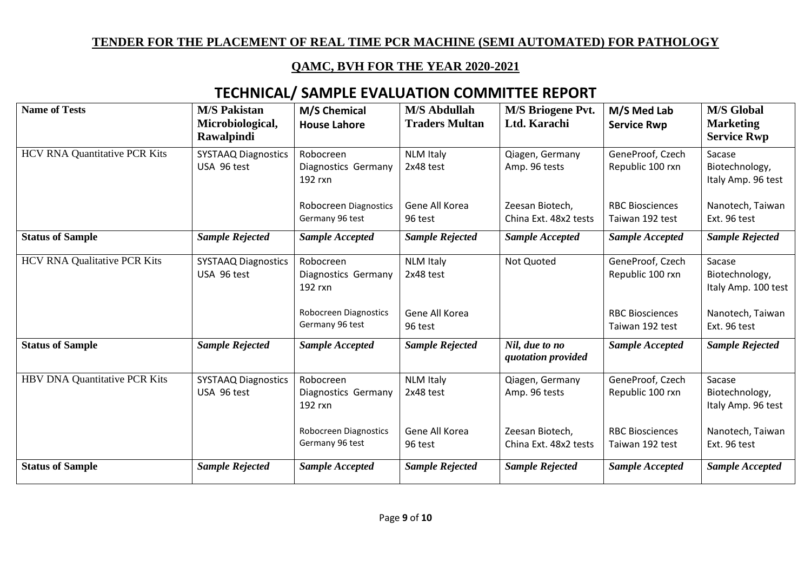### **QAMC, BVH FOR THE YEAR 2020-2021**

| <b>Name of Tests</b>                 | <b>M/S Pakistan</b><br>Microbiological,<br><b>Rawalpindi</b> | M/S Chemical<br><b>House Lahore</b>         | <b>M/S Abdullah</b><br><b>Traders Multan</b> | <b>M/S Briogene Pvt.</b><br>Ltd. Karachi | M/S Med Lab<br><b>Service Rwp</b>         | <b>M/S Global</b><br><b>Marketing</b><br><b>Service Rwp</b> |
|--------------------------------------|--------------------------------------------------------------|---------------------------------------------|----------------------------------------------|------------------------------------------|-------------------------------------------|-------------------------------------------------------------|
| <b>HCV RNA Quantitative PCR Kits</b> | <b>SYSTAAQ Diagnostics</b><br>USA 96 test                    | Robocreen<br>Diagnostics Germany<br>192 rxn | <b>NLM Italy</b><br>2x48 test                | Qiagen, Germany<br>Amp. 96 tests         | GeneProof, Czech<br>Republic 100 rxn      | Sacase<br>Biotechnology,<br>Italy Amp. 96 test              |
|                                      |                                                              | Robocreen Diagnostics<br>Germany 96 test    | Gene All Korea<br>96 test                    | Zeesan Biotech,<br>China Ext. 48x2 tests | <b>RBC Biosciences</b><br>Taiwan 192 test | Nanotech, Taiwan<br>Ext. 96 test                            |
| <b>Status of Sample</b>              | <b>Sample Rejected</b>                                       | <b>Sample Accepted</b>                      | <b>Sample Rejected</b>                       | <b>Sample Accepted</b>                   | <b>Sample Accepted</b>                    | <b>Sample Rejected</b>                                      |
| <b>HCV RNA Qualitative PCR Kits</b>  | <b>SYSTAAQ Diagnostics</b><br>USA 96 test                    | Robocreen<br>Diagnostics Germany<br>192 rxn | <b>NLM Italy</b><br>2x48 test                | Not Quoted                               | GeneProof, Czech<br>Republic 100 rxn      | Sacase<br>Biotechnology,<br>Italy Amp. 100 test             |
|                                      |                                                              | Robocreen Diagnostics<br>Germany 96 test    | Gene All Korea<br>96 test                    |                                          | <b>RBC Biosciences</b><br>Taiwan 192 test | Nanotech, Taiwan<br>Ext. 96 test                            |
| <b>Status of Sample</b>              | <b>Sample Rejected</b>                                       | <b>Sample Accepted</b>                      | <b>Sample Rejected</b>                       | Nil, due to no<br>quotation provided     | <b>Sample Accepted</b>                    | <b>Sample Rejected</b>                                      |
| HBV DNA Quantitative PCR Kits        | <b>SYSTAAQ Diagnostics</b><br>USA 96 test                    | Robocreen<br>Diagnostics Germany<br>192 rxn | <b>NLM Italy</b><br>2x48 test                | Qiagen, Germany<br>Amp. 96 tests         | GeneProof, Czech<br>Republic 100 rxn      | Sacase<br>Biotechnology,<br>Italy Amp. 96 test              |
|                                      |                                                              | Robocreen Diagnostics<br>Germany 96 test    | Gene All Korea<br>96 test                    | Zeesan Biotech,<br>China Ext. 48x2 tests | <b>RBC Biosciences</b><br>Taiwan 192 test | Nanotech, Taiwan<br>Ext. 96 test                            |
| <b>Status of Sample</b>              | <b>Sample Rejected</b>                                       | <b>Sample Accepted</b>                      | <b>Sample Rejected</b>                       | <b>Sample Rejected</b>                   | <b>Sample Accepted</b>                    | <b>Sample Accepted</b>                                      |